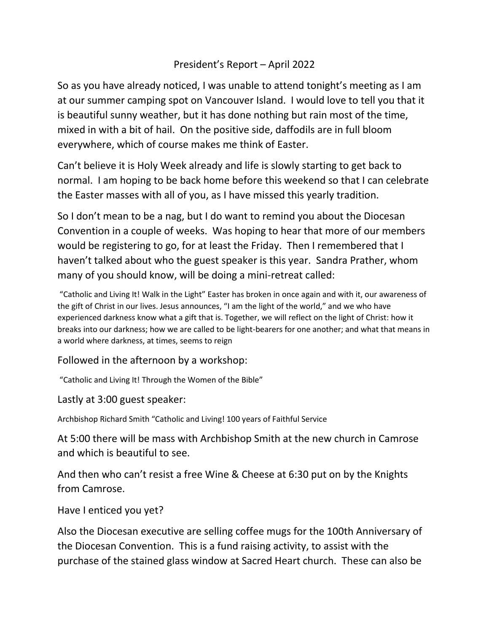## President's Report – April 2022

So as you have already noticed, I was unable to attend tonight's meeting as I am at our summer camping spot on Vancouver Island. I would love to tell you that it is beautiful sunny weather, but it has done nothing but rain most of the time, mixed in with a bit of hail. On the positive side, daffodils are in full bloom everywhere, which of course makes me think of Easter.

Can't believe it is Holy Week already and life is slowly starting to get back to normal. I am hoping to be back home before this weekend so that I can celebrate the Easter masses with all of you, as I have missed this yearly tradition.

So I don't mean to be a nag, but I do want to remind you about the Diocesan Convention in a couple of weeks. Was hoping to hear that more of our members would be registering to go, for at least the Friday. Then I remembered that I haven't talked about who the guest speaker is this year. Sandra Prather, whom many of you should know, will be doing a mini-retreat called:

"Catholic and Living It! Walk in the Light" Easter has broken in once again and with it, our awareness of the gift of Christ in our lives. Jesus announces, "I am the light of the world," and we who have experienced darkness know what a gift that is. Together, we will reflect on the light of Christ: how it breaks into our darkness; how we are called to be light-bearers for one another; and what that means in a world where darkness, at times, seems to reign

## Followed in the afternoon by a workshop:

"Catholic and Living It! Through the Women of the Bible"

Lastly at 3:00 guest speaker:

Archbishop Richard Smith "Catholic and Living! 100 years of Faithful Service

At 5:00 there will be mass with Archbishop Smith at the new church in Camrose and which is beautiful to see.

And then who can't resist a free Wine & Cheese at 6:30 put on by the Knights from Camrose.

Have I enticed you yet?

Also the Diocesan executive are selling coffee mugs for the 100th Anniversary of the Diocesan Convention. This is a fund raising activity, to assist with the purchase of the stained glass window at Sacred Heart church. These can also be